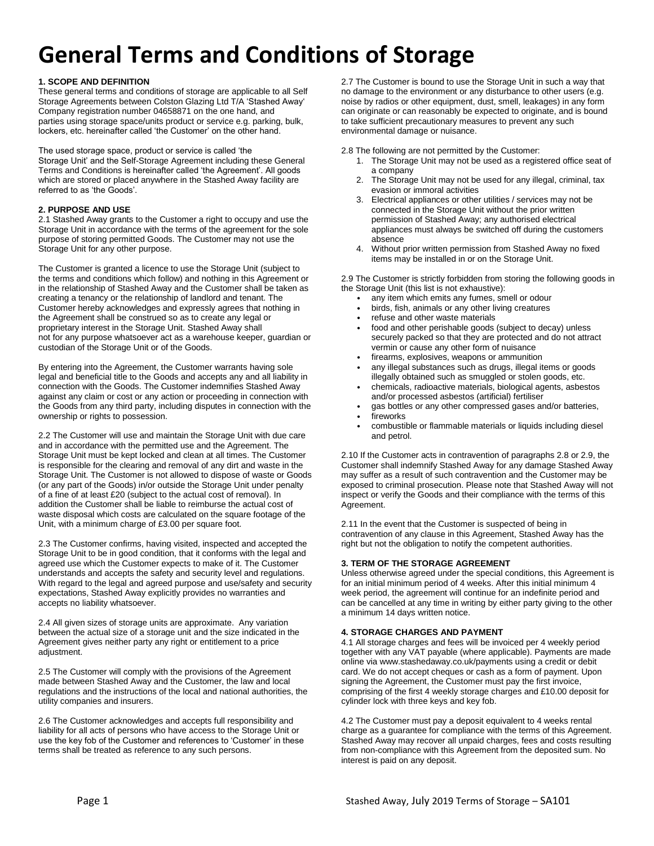# **1. SCOPE AND DEFINITION**

These general terms and conditions of storage are applicable to all Self Storage Agreements between Colston Glazing Ltd T/A 'Stashed Away' Company registration number 04658871 on the one hand, and parties using storage space/units product or service e.g. parking, bulk, lockers, etc. hereinafter called 'the Customer' on the other hand.

The used storage space, product or service is called 'the Storage Unit' and the Self-Storage Agreement including these General Terms and Conditions is hereinafter called 'the Agreement'. All goods which are stored or placed anywhere in the Stashed Away facility are

# referred to as 'the Goods'. **2. PURPOSE AND USE**

2.1 Stashed Away grants to the Customer a right to occupy and use the Storage Unit in accordance with the terms of the agreement for the sole purpose of storing permitted Goods. The Customer may not use the Storage Unit for any other purpose.

The Customer is granted a licence to use the Storage Unit (subject to the terms and conditions which follow) and nothing in this Agreement or in the relationship of Stashed Away and the Customer shall be taken as creating a tenancy or the relationship of landlord and tenant. The Customer hereby acknowledges and expressly agrees that nothing in the Agreement shall be construed so as to create any legal or proprietary interest in the Storage Unit. Stashed Away shall not for any purpose whatsoever act as a warehouse keeper, guardian or custodian of the Storage Unit or of the Goods.

By entering into the Agreement, the Customer warrants having sole legal and beneficial title to the Goods and accepts any and all liability in connection with the Goods. The Customer indemnifies Stashed Away against any claim or cost or any action or proceeding in connection with the Goods from any third party, including disputes in connection with the ownership or rights to possession.

2.2 The Customer will use and maintain the Storage Unit with due care and in accordance with the permitted use and the Agreement. The Storage Unit must be kept locked and clean at all times. The Customer is responsible for the clearing and removal of any dirt and waste in the Storage Unit. The Customer is not allowed to dispose of waste or Goods (or any part of the Goods) in/or outside the Storage Unit under penalty of a fine of at least £20 (subject to the actual cost of removal). In addition the Customer shall be liable to reimburse the actual cost of waste disposal which costs are calculated on the square footage of the Unit, with a minimum charge of £3.00 per square foot.

2.3 The Customer confirms, having visited, inspected and accepted the Storage Unit to be in good condition, that it conforms with the legal and agreed use which the Customer expects to make of it. The Customer understands and accepts the safety and security level and regulations. With regard to the legal and agreed purpose and use/safety and security expectations, Stashed Away explicitly provides no warranties and accepts no liability whatsoever.

2.4 All given sizes of storage units are approximate. Any variation between the actual size of a storage unit and the size indicated in the Agreement gives neither party any right or entitlement to a price adjustment.

2.5 The Customer will comply with the provisions of the Agreement made between Stashed Away and the Customer, the law and local regulations and the instructions of the local and national authorities, the utility companies and insurers.

2.6 The Customer acknowledges and accepts full responsibility and liability for all acts of persons who have access to the Storage Unit or use the key fob of the Customer and references to 'Customer' in these terms shall be treated as reference to any such persons.

2.7 The Customer is bound to use the Storage Unit in such a way that no damage to the environment or any disturbance to other users (e.g. noise by radios or other equipment, dust, smell, leakages) in any form can originate or can reasonably be expected to originate, and is bound to take sufficient precautionary measures to prevent any such environmental damage or nuisance.

2.8 The following are not permitted by the Customer:

- 1. The Storage Unit may not be used as a registered office seat of a company
- 2. The Storage Unit may not be used for any illegal, criminal, tax evasion or immoral activities
- 3. Electrical appliances or other utilities / services may not be connected in the Storage Unit without the prior written permission of Stashed Away; any authorised electrical appliances must always be switched off during the customers absence
- 4. Without prior written permission from Stashed Away no fixed items may be installed in or on the Storage Unit.

2.9 The Customer is strictly forbidden from storing the following goods in the Storage Unit (this list is not exhaustive):

- any item which emits any fumes, smell or odour
- birds, fish, animals or any other living creatures
- refuse and other waste materials
- food and other perishable goods (subject to decay) unless securely packed so that they are protected and do not attract vermin or cause any other form of nuisance
- firearms, explosives, weapons or ammunition
- any illegal substances such as drugs, illegal items or goods illegally obtained such as smuggled or stolen goods, etc.
- chemicals, radioactive materials, biological agents, asbestos and/or processed asbestos (artificial) fertiliser
	- gas bottles or any other compressed gases and/or batteries,
	- fireworks
	- combustible or flammable materials or liquids including diesel and petrol.

2.10 If the Customer acts in contravention of paragraphs 2.8 or 2.9, the Customer shall indemnify Stashed Away for any damage Stashed Away may suffer as a result of such contravention and the Customer may be exposed to criminal prosecution. Please note that Stashed Away will not inspect or verify the Goods and their compliance with the terms of this Agreement.

2.11 In the event that the Customer is suspected of being in contravention of any clause in this Agreement, Stashed Away has the right but not the obligation to notify the competent authorities.

# **3. TERM OF THE STORAGE AGREEMENT**

Unless otherwise agreed under the special conditions, this Agreement is for an initial minimum period of 4 weeks. After this initial minimum 4 week period, the agreement will continue for an indefinite period and can be cancelled at any time in writing by either party giving to the other a minimum 14 days written notice.

# **4. STORAGE CHARGES AND PAYMENT**

4.1 All storage charges and fees will be invoiced per 4 weekly period together with any VAT payable (where applicable). Payments are made online via www.stashedaway.co.uk/payments using a credit or debit card. We do not accept cheques or cash as a form of payment. Upon signing the Agreement, the Customer must pay the first invoice, comprising of the first 4 weekly storage charges and £10.00 deposit for cylinder lock with three keys and key fob.

4.2 The Customer must pay a deposit equivalent to 4 weeks rental charge as a guarantee for compliance with the terms of this Agreement. Stashed Away may recover all unpaid charges, fees and costs resulting from non-compliance with this Agreement from the deposited sum. No interest is paid on any deposit.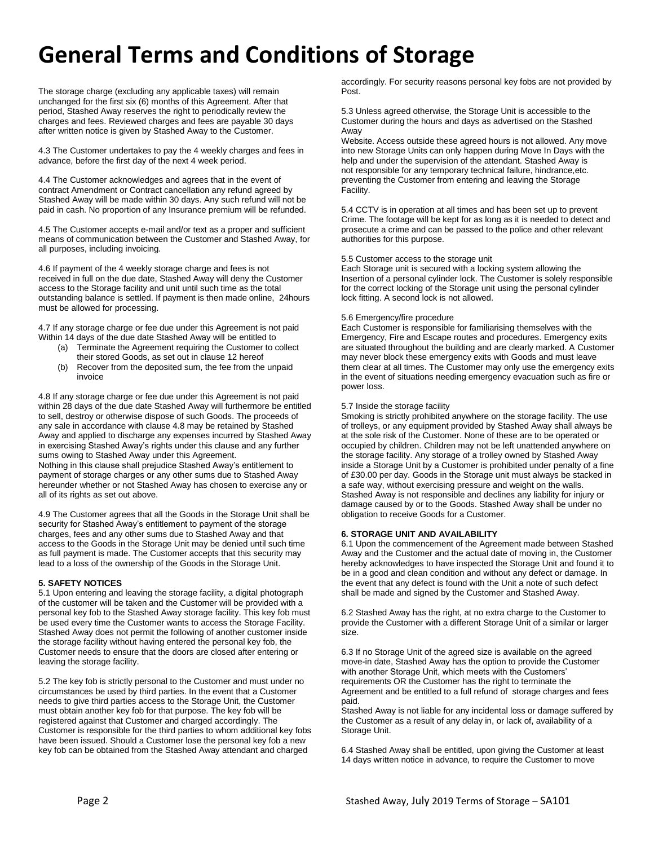The storage charge (excluding any applicable taxes) will remain unchanged for the first six (6) months of this Agreement. After that period, Stashed Away reserves the right to periodically review the charges and fees. Reviewed charges and fees are payable 30 days after written notice is given by Stashed Away to the Customer.

4.3 The Customer undertakes to pay the 4 weekly charges and fees in advance, before the first day of the next 4 week period.

4.4 The Customer acknowledges and agrees that in the event of contract Amendment or Contract cancellation any refund agreed by Stashed Away will be made within 30 days. Any such refund will not be paid in cash. No proportion of any Insurance premium will be refunded.

4.5 The Customer accepts e-mail and/or text as a proper and sufficient means of communication between the Customer and Stashed Away, for all purposes, including invoicing.

4.6 If payment of the 4 weekly storage charge and fees is not received in full on the due date, Stashed Away will deny the Customer access to the Storage facility and unit until such time as the total outstanding balance is settled. If payment is then made online, 24hours must be allowed for processing.

4.7 If any storage charge or fee due under this Agreement is not paid Within 14 days of the due date Stashed Away will be entitled to

- (a) Terminate the Agreement requiring the Customer to collect their stored Goods, as set out in clause 12 hereof
- (b) Recover from the deposited sum, the fee from the unpaid invoice

4.8 If any storage charge or fee due under this Agreement is not paid within 28 days of the due date Stashed Away will furthermore be entitled to sell, destroy or otherwise dispose of such Goods. The proceeds of any sale in accordance with clause 4.8 may be retained by Stashed Away and applied to discharge any expenses incurred by Stashed Away in exercising Stashed Away's rights under this clause and any further sums owing to Stashed Away under this Agreement. Nothing in this clause shall prejudice Stashed Away's entitlement to payment of storage charges or any other sums due to Stashed Away hereunder whether or not Stashed Away has chosen to exercise any or all of its rights as set out above.

4.9 The Customer agrees that all the Goods in the Storage Unit shall be security for Stashed Away's entitlement to payment of the storage charges, fees and any other sums due to Stashed Away and that access to the Goods in the Storage Unit may be denied until such time as full payment is made. The Customer accepts that this security may lead to a loss of the ownership of the Goods in the Storage Unit.

# **5. SAFETY NOTICES**

5.1 Upon entering and leaving the storage facility, a digital photograph of the customer will be taken and the Customer will be provided with a personal key fob to the Stashed Away storage facility. This key fob must be used every time the Customer wants to access the Storage Facility. Stashed Away does not permit the following of another customer inside the storage facility without having entered the personal key fob, the Customer needs to ensure that the doors are closed after entering or leaving the storage facility.

5.2 The key fob is strictly personal to the Customer and must under no circumstances be used by third parties. In the event that a Customer needs to give third parties access to the Storage Unit, the Customer must obtain another key fob for that purpose. The key fob will be registered against that Customer and charged accordingly. The Customer is responsible for the third parties to whom additional key fobs have been issued. Should a Customer lose the personal key fob a new key fob can be obtained from the Stashed Away attendant and charged

accordingly. For security reasons personal key fobs are not provided by Post.

5.3 Unless agreed otherwise, the Storage Unit is accessible to the Customer during the hours and days as advertised on the Stashed Away

Website. Access outside these agreed hours is not allowed. Any move into new Storage Units can only happen during Move In Days with the help and under the supervision of the attendant. Stashed Away is not responsible for any temporary technical failure, hindrance,etc. preventing the Customer from entering and leaving the Storage Facility.

5.4 CCTV is in operation at all times and has been set up to prevent Crime. The footage will be kept for as long as it is needed to detect and prosecute a crime and can be passed to the police and other relevant authorities for this purpose.

#### 5.5 Customer access to the storage unit

Each Storage unit is secured with a locking system allowing the Insertion of a personal cylinder lock. The Customer is solely responsible for the correct locking of the Storage unit using the personal cylinder lock fitting. A second lock is not allowed.

# 5.6 Emergency/fire procedure

Each Customer is responsible for familiarising themselves with the Emergency, Fire and Escape routes and procedures. Emergency exits are situated throughout the building and are clearly marked. A Customer may never block these emergency exits with Goods and must leave them clear at all times. The Customer may only use the emergency exits in the event of situations needing emergency evacuation such as fire or power loss.

# 5.7 Inside the storage facility

Smoking is strictly prohibited anywhere on the storage facility. The use of trolleys, or any equipment provided by Stashed Away shall always be at the sole risk of the Customer. None of these are to be operated or occupied by children. Children may not be left unattended anywhere on the storage facility. Any storage of a trolley owned by Stashed Away inside a Storage Unit by a Customer is prohibited under penalty of a fine of £30.00 per day. Goods in the Storage unit must always be stacked in a safe way, without exercising pressure and weight on the walls. Stashed Away is not responsible and declines any liability for injury or damage caused by or to the Goods. Stashed Away shall be under no obligation to receive Goods for a Customer.

# **6. STORAGE UNIT AND AVAILABILITY**

6.1 Upon the commencement of the Agreement made between Stashed Away and the Customer and the actual date of moving in, the Customer hereby acknowledges to have inspected the Storage Unit and found it to be in a good and clean condition and without any defect or damage. In the event that any defect is found with the Unit a note of such defect shall be made and signed by the Customer and Stashed Away.

6.2 Stashed Away has the right, at no extra charge to the Customer to provide the Customer with a different Storage Unit of a similar or larger size.

6.3 If no Storage Unit of the agreed size is available on the agreed move-in date, Stashed Away has the option to provide the Customer with another Storage Unit, which meets with the Customers' requirements OR the Customer has the right to terminate the Agreement and be entitled to a full refund of storage charges and fees paid.

Stashed Away is not liable for any incidental loss or damage suffered by the Customer as a result of any delay in, or lack of, availability of a Storage Unit.

6.4 Stashed Away shall be entitled, upon giving the Customer at least 14 days written notice in advance, to require the Customer to move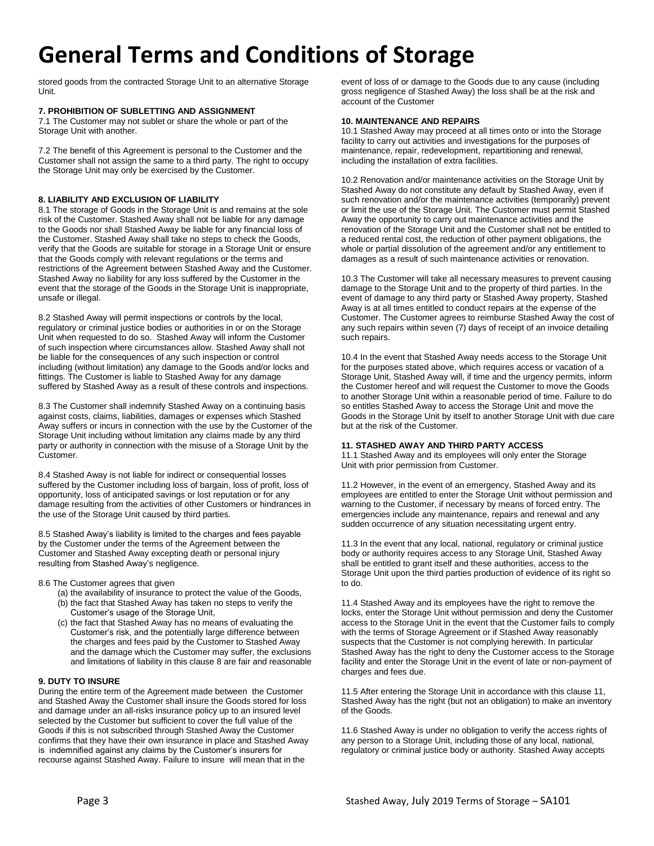stored goods from the contracted Storage Unit to an alternative Storage Unit.

# **7. PROHIBITION OF SUBLETTING AND ASSIGNMENT**

7.1 The Customer may not sublet or share the whole or part of the Storage Unit with another.

7.2 The benefit of this Agreement is personal to the Customer and the Customer shall not assign the same to a third party. The right to occupy the Storage Unit may only be exercised by the Customer.

# **8. LIABILITY AND EXCLUSION OF LIABILITY**

8.1 The storage of Goods in the Storage Unit is and remains at the sole risk of the Customer. Stashed Away shall not be liable for any damage to the Goods nor shall Stashed Away be liable for any financial loss of the Customer. Stashed Away shall take no steps to check the Goods, verify that the Goods are suitable for storage in a Storage Unit or ensure that the Goods comply with relevant regulations or the terms and restrictions of the Agreement between Stashed Away and the Customer. Stashed Away no liability for any loss suffered by the Customer in the event that the storage of the Goods in the Storage Unit is inappropriate, unsafe or illegal.

8.2 Stashed Away will permit inspections or controls by the local, regulatory or criminal justice bodies or authorities in or on the Storage Unit when requested to do so. Stashed Away will inform the Customer of such inspection where circumstances allow. Stashed Away shall not be liable for the consequences of any such inspection or control including (without limitation) any damage to the Goods and/or locks and fittings. The Customer is liable to Stashed Away for any damage suffered by Stashed Away as a result of these controls and inspections.

8.3 The Customer shall indemnify Stashed Away on a continuing basis against costs, claims, liabilities, damages or expenses which Stashed Away suffers or incurs in connection with the use by the Customer of the Storage Unit including without limitation any claims made by any third party or authority in connection with the misuse of a Storage Unit by the Customer.

8.4 Stashed Away is not liable for indirect or consequential losses suffered by the Customer including loss of bargain, loss of profit, loss of opportunity, loss of anticipated savings or lost reputation or for any damage resulting from the activities of other Customers or hindrances in the use of the Storage Unit caused by third parties.

8.5 Stashed Away's liability is limited to the charges and fees payable by the Customer under the terms of the Agreement between the Customer and Stashed Away excepting death or personal injury resulting from Stashed Away's negligence.

8.6 The Customer agrees that given

- (a) the availability of insurance to protect the value of the Goods, (b) the fact that Stashed Away has taken no steps to verify the
- Customer's usage of the Storage Unit, (c) the fact that Stashed Away has no means of evaluating the Customer's risk, and the potentially large difference between the charges and fees paid by the Customer to Stashed Away and the damage which the Customer may suffer, the exclusions and limitations of liability in this clause 8 are fair and reasonable

# **9. DUTY TO INSURE**

During the entire term of the Agreement made between the Customer and Stashed Away the Customer shall insure the Goods stored for loss and damage under an all-risks insurance policy up to an insured level selected by the Customer but sufficient to cover the full value of the Goods if this is not subscribed through Stashed Away the Customer confirms that they have their own insurance in place and Stashed Away is indemnified against any claims by the Customer's insurers for recourse against Stashed Away. Failure to insure will mean that in the

event of loss of or damage to the Goods due to any cause (including gross negligence of Stashed Away) the loss shall be at the risk and account of the Customer

# **10. MAINTENANCE AND REPAIRS**

10.1 Stashed Away may proceed at all times onto or into the Storage facility to carry out activities and investigations for the purposes of maintenance, repair, redevelopment, repartitioning and renewal, including the installation of extra facilities.

10.2 Renovation and/or maintenance activities on the Storage Unit by Stashed Away do not constitute any default by Stashed Away, even if such renovation and/or the maintenance activities (temporarily) prevent or limit the use of the Storage Unit. The Customer must permit Stashed Away the opportunity to carry out maintenance activities and the renovation of the Storage Unit and the Customer shall not be entitled to a reduced rental cost, the reduction of other payment obligations, the whole or partial dissolution of the agreement and/or any entitlement to damages as a result of such maintenance activities or renovation.

10.3 The Customer will take all necessary measures to prevent causing damage to the Storage Unit and to the property of third parties. In the event of damage to any third party or Stashed Away property, Stashed Away is at all times entitled to conduct repairs at the expense of the Customer. The Customer agrees to reimburse Stashed Away the cost of any such repairs within seven (7) days of receipt of an invoice detailing such repairs.

10.4 In the event that Stashed Away needs access to the Storage Unit for the purposes stated above, which requires access or vacation of a Storage Unit, Stashed Away will, if time and the urgency permits, inform the Customer hereof and will request the Customer to move the Goods to another Storage Unit within a reasonable period of time. Failure to do so entitles Stashed Away to access the Storage Unit and move the Goods in the Storage Unit by itself to another Storage Unit with due care but at the risk of the Customer.

# **11. STASHED AWAY AND THIRD PARTY ACCESS**

11.1 Stashed Away and its employees will only enter the Storage Unit with prior permission from Customer.

11.2 However, in the event of an emergency, Stashed Away and its employees are entitled to enter the Storage Unit without permission and warning to the Customer, if necessary by means of forced entry. The emergencies include any maintenance, repairs and renewal and any sudden occurrence of any situation necessitating urgent entry.

11.3 In the event that any local, national, regulatory or criminal justice body or authority requires access to any Storage Unit, Stashed Away shall be entitled to grant itself and these authorities, access to the Storage Unit upon the third parties production of evidence of its right so to do.

11.4 Stashed Away and its employees have the right to remove the locks, enter the Storage Unit without permission and deny the Customer access to the Storage Unit in the event that the Customer fails to comply with the terms of Storage Agreement or if Stashed Away reasonably suspects that the Customer is not complying herewith. In particular Stashed Away has the right to deny the Customer access to the Storage facility and enter the Storage Unit in the event of late or non-payment of charges and fees due.

11.5 After entering the Storage Unit in accordance with this clause 11, Stashed Away has the right (but not an obligation) to make an inventory of the Goods.

11.6 Stashed Away is under no obligation to verify the access rights of any person to a Storage Unit, including those of any local, national, regulatory or criminal justice body or authority. Stashed Away accepts